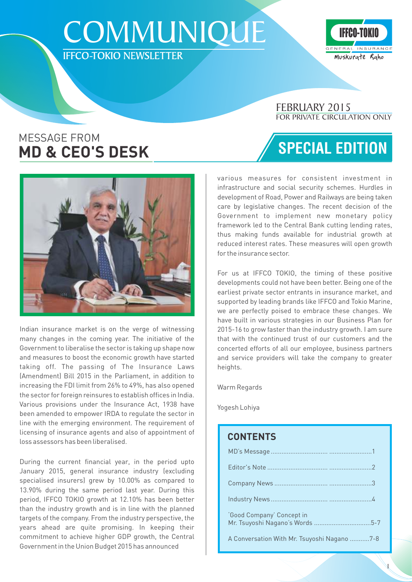# **COMMUNIQUE IFFCO-TOKIO NEWSLETTER**



### FOR PRIVATE CIRCULATION ONLY FEBRUARY 2015

SPECIAL EDITION

### MESSAGE FROM **MD & CEO'S DESK**



Indian insurance market is on the verge of witnessing many changes in the coming year. The initiative of the Government to liberalise the sector is taking up shape now and measures to boost the economic growth have started taking off. The passing of The Insurance Laws (Amendment) Bill 2015 in the Parliament, in addition to increasing the FDI limit from 26% to 49%, has also opened the sector for foreign reinsures to establish offices in India. Various provisions under the Insurance Act, 1938 have been amended to empower IRDA to regulate the sector in line with the emerging environment. The requirement of licensing of insurance agents and also of appointment of loss assessors has been liberalised.

During the current financial year, in the period upto January 2015, general insurance industry (excluding specialised insurers) grew by 10.00% as compared to 13.90% during the same period last year. During this period, IFFCO TOKIO growth at 12.10% has been better than the industry growth and is in line with the planned targets of the company. From the industry perspective, the years ahead are quite promising. In keeping their commitment to achieve higher GDP growth, the Central Government in the Union Budget 2015 has announced

various measures for consistent investment in infrastructure and social security schemes. Hurdles in development of Road, Power and Railways are being taken care by legislative changes. The recent decision of the Government to implement new monetary policy framework led to the Central Bank cutting lending rates, thus making funds available for industrial growth at reduced interest rates. These measures will open growth for the insurance sector.

For us at IFFCO TOKIO, the timing of these positive developments could not have been better. Being one of the earliest private sector entrants in insurance market, and supported by leading brands like IFFCO and Tokio Marine, we are perfectly poised to embrace these changes. We have built in various strategies in our Business Plan for 2015-16 to grow faster than the industry growth. I am sure that with the continued trust of our customers and the concerted efforts of all our employee, business partners and service providers will take the company to greater heights.

Warm Regards

Yogesh Lohiya

### **CONTENTS**

| 'Good Company' Concept in                   |  |
|---------------------------------------------|--|
| A Conversation With Mr. Tsuyoshi Nagano 7-8 |  |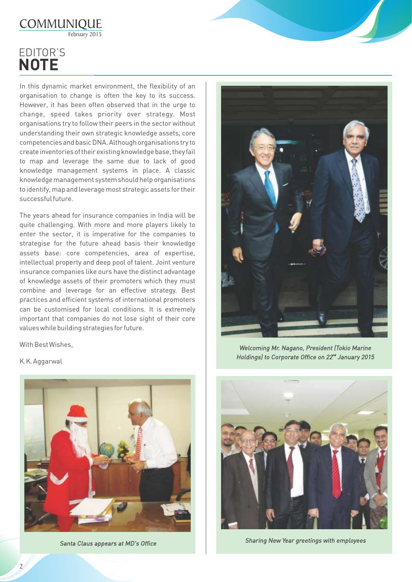

## **EDITOR'S NOTE**

In this dynamic market environment, the flexibility of an organisation to change is often the key to its success. However, it has been often observed that in the urge to change, speed takes priority over strategy. Most organisations try to follow their peers in the sector without understanding their own strategic knowledge assets, core competencies and basic DNA. Although organisations try to create inventories of their existing knowledge base, they fail to map and leverage the same due to lack of good knowledge management systems in place. A classic knowledge management system should help organisations to identify, map and leverage most strategic assets for their successful future.

The years ahead for insurance companies in India will be quite challenging. With more and more players likely to enter the sector, it is imperative for the companies to strategise for the future ahead basis their knowledge assets base: core competencies, area of expertise, intellectual property and deep pool of talent. Joint venture insurance companies like ours have the distinct advantage of knowledge assets of their promoters which they must combine and leverage for an effective strategy. Best practices and efficient systems of international promoters can be customised for local conditions. It is extremely important that companies do not lose sight of their core values while building strategies for future.

With Best Wishes,

K.K. Aggarwal





*Welcoming Mr. Nagano, President (Tokio Marine Holdings) to Corporate Office on 22<sup>nd</sup> January 2015* 



*Santa Claus appears at MD's Office Sharing New Year greetings with employees*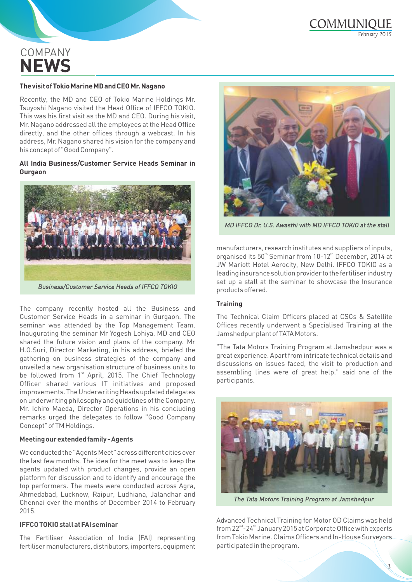## **COMPANY NEWS**

#### **The visit of Tokio Marine MD and CEO Mr. Nagano**

Recently, the MD and CEO of Tokio Marine Holdings Mr. Tsuyoshi Nagano visited the Head Office of IFFCO TOKIO. This was his first visit as the MD and CEO. During his visit, Mr. Nagano addressed all the employees at the Head Office directly, and the other offices through a webcast. In his address, Mr. Nagano shared his vision for the company and his concept of "Good Company".

#### **All India Business/Customer Service Heads Seminar in Gurgaon**



*Business/Customer Service Heads of IFFCO TOKIO*

The company recently hosted all the Business and Customer Service Heads in a seminar in Gurgaon. The seminar was attended by the Top Management Team. Inaugurating the seminar Mr Yogesh Lohiya, MD and CEO shared the future vision and plans of the company. Mr H.O.Suri, Director Marketing, in his address, briefed the gathering on business strategies of the company and unveiled a new organisation structure of business units to be followed from 1<sup>st</sup> April, 2015. The Chief Technology Officer shared various IT initiatives and proposed improvements. The Underwriting Heads updated delegates on underwriting philosophy and guidelines of the Company. Mr. Ichiro Maeda, Director Operations in his concluding remarks urged the delegates to follow "Good Company Concept" of TM Holdings.

#### **Meeting our extended family - Agents**

We conducted the "Agents Meet" across different cities over the last few months. The idea for the meet was to keep the agents updated with product changes, provide an open platform for discussion and to identify and encourage the top performers. The meets were conducted across Agra, Ahmedabad, Lucknow, Raipur, Ludhiana, Jalandhar and Chennai over the months of December 2014 to February 2015.

#### **IFFCO TOKIO stall at FAI seminar**

The Fertiliser Association of India (FAI) representing fertiliser manufacturers, distributors, importers, equipment



*MD IFFCO Dr. U.S. Awasthi with MD IFFCO TOKIO at the stall* 

manufacturers, research institutes and suppliers of inputs, organised its 50<sup>th</sup> Seminar from 10-12<sup>th</sup> December, 2014 at JW Mariott Hotel Aerocity, New Delhi. IFFCO TOKIO as a leading insurance solution provider to the fertiliser industry set up a stall at the seminar to showcase the Insurance products offered.

#### **Training**

The Technical Claim Officers placed at CSCs & Satellite Offices recently underwent a Specialised Training at the Jamshedpur plant of TATA Motors.

"The Tata Motors Training Program at Jamshedpur was a great experience. Apart from intricate technical details and discussions on issues faced, the visit to production and assembling lines were of great help." said one of the participants.



*The Tata Motors Training Program at Jamshedpur*

Advanced Technical Training for Motor OD Claims was held from 22<sup>nd</sup>-24<sup>th</sup> January 2015 at Corporate Office with experts from Tokio Marine. Claims Officers and In-House Surveyors participated in the program.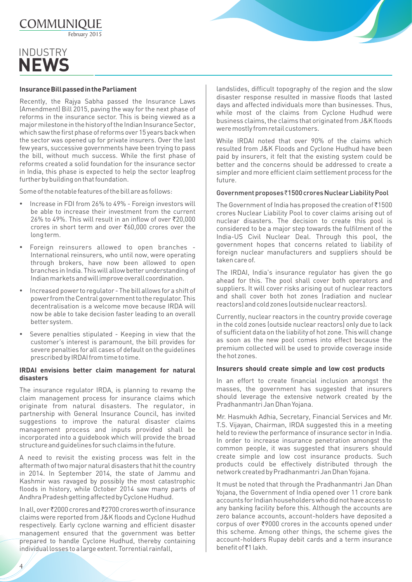

### INDUSTRY **NEWS**

#### **Insurance Bill passed in the Parliament**

Recently, the Rajya Sabha passed the Insurance Laws (Amendment) Bill 2015, paving the way for the next phase of reforms in the insurance sector. This is being viewed as a major milestone in the history of the Indian Insurance Sector, which saw the first phase of reforms over 15 years back when the sector was opened up for private insurers. Over the last few years, successive governments have been trying to pass the bill, without much success. While the first phase of reforms created a solid foundation for the insurance sector in India, this phase is expected to help the sector leapfrog further by building on that foundation.

Some of the notable features of the bill are as follows:

- Increase in FDI from 26% to 49% Foreign investors will be able to increase their investment from the current  $26\%$  to  $49\%$ . This will result in an inflow of over  $\overline{5}20.000$ crores in short term and over  $\text{\textdegree}60.000$  crores over the long term.
- Foreign reinsurers allowed to open branches International reinsurers, who until now, were operating through brokers, have now been allowed to open branches in India. This will allow better understanding of Indian markets and will improve overall coordination.
- Increased power to regulator The bill allows for a shift of power from the Central government to the regulator. This decentralisation is a welcome move because IRDA will now be able to take decision faster leading to an overall better system.
- Severe penalties stipulated Keeping in view that the customer's interest is paramount, the bill provides for severe penalties for all cases of default on the guidelines prescribed by IRDAI from time to time.

#### **IRDAI envisions better claim management for natural disasters**

The insurance regulator IRDA, is planning to revamp the claim management process for insurance claims which originate from natural disasters. The regulator, in partnership with General Insurance Council, has invited suggestions to improve the natural disaster claims management process and inputs provided shall be incorporated into a guidebook which will provide the broad structure and guidelines for such claims in the future.

A need to revisit the existing process was felt in the aftermath of two major natural disasters that hit the country in 2014. In September 2014, the state of Jammu and Kashmir was ravaged by possibly the most catastrophic floods in history, while October 2014 saw many parts of Andhra Pradesh getting affected by Cyclone Hudhud.

In all, over ₹2000 crores and ₹2700 crores worth of insurance claims were reported from J&K floods and Cyclone Hudhud respectively. Early cyclone warning and efficient disaster management ensured that the government was better prepared to handle Cyclone Hudhud, thereby containing individual losses to a large extent. Torrential rainfall,

 $\overline{4}$ 

landslides, difficult topography of the region and the slow disaster response resulted in massive floods that lasted days and affected individuals more than businesses. Thus, while most of the claims from Cyclone Hudhud were business claims, the claims that originated from J&K floods were mostly from retail customers.

While IRDAI noted that over 90% of the claims which resulted from J&K Floods and Cyclone Hudhud have been paid by insurers, it felt that the existing system could be better and the concerns should be addressed to create a simpler and more efficient claim settlement process for the future.

#### Government proposes `1500 crores Nuclear Liability Pool

The Government of India has proposed the creation of  $\bar{c}1500$ crores Nuclear Liability Pool to cover claims arising out of nuclear disasters. The decision to create this pool is considered to be a major step towards the fulfilment of the India-US Civil Nuclear Deal. Through this pool, the government hopes that concerns related to liability of foreign nuclear manufacturers and suppliers should be taken care of.

The IRDAI, India's insurance regulator has given the go ahead for this. The pool shall cover both operators and suppliers. It will cover risks arising out of nuclear reactors and shall cover both hot zones (radiation and nuclear reactors) and cold zones (outside nuclear reactors).

Currently, nuclear reactors in the country provide coverage in the cold zones (outside nuclear reactors) only due to lack of sufficient data on the liability of hot zone. This will change as soon as the new pool comes into effect because the premium collected will be used to provide coverage inside the hot zones.

#### **Insurers should create simple and low cost products**

In an effort to create financial inclusion amongst the masses, the government has suggested that insurers should leverage the extensive network created by the Pradhanmantri Jan Dhan Yojana.

Mr. Hasmukh Adhia, Secretary, Financial Services and Mr. T.S. Vijayan, Chairman, IRDA suggested this in a meeting held to review the performance of insurance sector in India. In order to increase insurance penetration amongst the common people, it was suggested that insurers should create simple and low cost insurance products. Such products could be effectively distributed through the network created by Pradhanmantri Jan Dhan Yojana.

It must be noted that through the Pradhanmantri Jan Dhan Yojana, the Government of India opened over 11 crore bank accounts for Indian householders who did not have access to any banking facility before this. Although the accounts are zero balance accounts, account-holders have deposited a  $corpus$  of over  $\overline{\xi}$ 9000 crores in the accounts opened under this scheme. Among other things, the scheme gives the account-holders Rupay debit cards and a term insurance benefit of ₹1 lakh.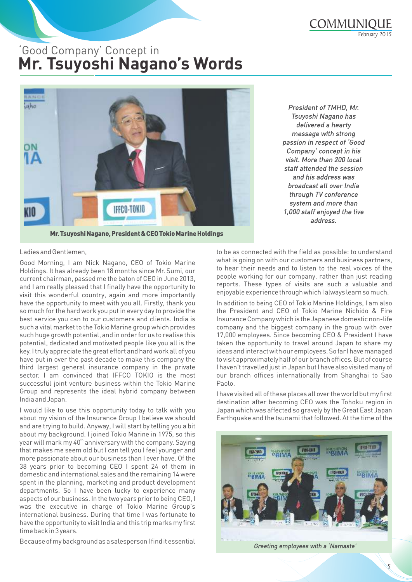## Good Company Concept in **Mr. Tsuyoshi Nagano's Words**



*delivered a hearty message with strong passion in respect of Good Company concept in his visit. More than 200 local staff attended the session and his address was broadcast all over India through TV conference system and more than 1,000 staff enjoyed the live address.*

*President of TMHD, Mr. Tsuyoshi Nagano has* 

**Mr. Tsuyoshi Nagano, President & CEO Tokio Marine Holdings** 

#### Ladies and Gentlemen,

Good Morning, I am Nick Nagano, CEO of Tokio Marine Holdings. It has already been 18 months since Mr. Sumi, our current chairman, passed me the baton of CEO in June 2013, and I am really pleased that I finally have the opportunity to visit this wonderful country, again and more importantly have the opportunity to meet with you all. Firstly, thank you so much for the hard work you put in every day to provide the best service you can to our customers and clients. India is such a vital market to the Tokio Marine group which provides such huge growth potential, and in order for us to realise this potential, dedicated and motivated people like you all is the key. I truly appreciate the great effort and hard work all of you have put in over the past decade to make this company the third largest general insurance company in the private sector. I am convinced that IFFCO TOKIO is the most successful joint venture business within the Tokio Marine Group and represents the ideal hybrid company between India and Japan.

I would like to use this opportunity today to talk with you about my vision of the Insurance Group I believe we should and are trying to build. Anyway, I will start by telling you a bit about my background. I joined Tokio Marine in 1975, so this year will mark my 40<sup>th</sup> anniversary with the company. Saying that makes me seem old but I can tell you I feel younger and more passionate about our business than I ever have. Of the 38 years prior to becoming CEO I spent 24 of them in domestic and international sales and the remaining 14 were spent in the planning, marketing and product development departments. So I have been lucky to experience many aspects of our business. In the two years prior to being CEO, I was the executive in charge of Tokio Marine Group's international business. During that time I was fortunate to have the opportunity to visit India and this trip marks my first time back in 3 years.

Because of my background as a salesperson I find it essential

to be as connected with the field as possible: to understand what is going on with our customers and business partners, to hear their needs and to listen to the real voices of the people working for our company, rather than just reading reports. These types of visits are such a valuable and enjoyable experience through which I always learn so much.

In addition to being CEO of Tokio Marine Holdings, I am also the President and CEO of Tokio Marine Nichido & Fire Insurance Company which is the Japanese domestic non-life company and the biggest company in the group with over 17,000 employees. Since becoming CEO & President I have taken the opportunity to travel around Japan to share my ideas and interact with our employees. So far I have managed to visit approximately half of our branch offices. But of course I haven't travelled just in Japan but I have also visited many of our branch offices internationally from Shanghai to Sao Paolo.

I have visited all of these places all over the world but my first destination after becoming CEO was the Tohoku region in Japan which was affected so gravely by the Great East Japan Earthquake and the tsunami that followed. At the time of the



*Greeting employees with a Namaste*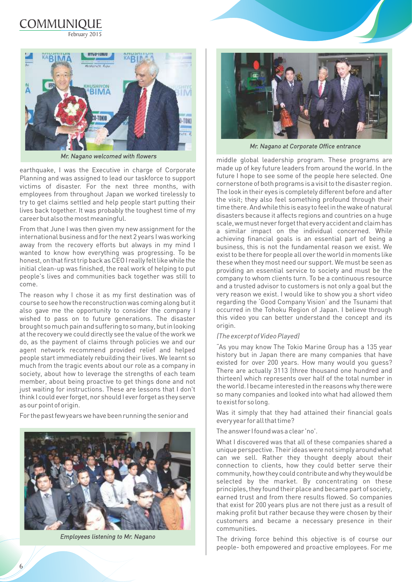



*Mr. Nagano welcomed with flowers* 

earthquake, I was the Executive in charge of Corporate Planning and was assigned to lead our taskforce to support victims of disaster. For the next three months, with employees from throughout Japan we worked tirelessly to try to get claims settled and help people start putting their lives back together. It was probably the toughest time of my career but also the most meaningful.

From that June I was then given my new assignment for the international business and for the next 2 years I was working away from the recovery efforts but always in my mind I wanted to know how everything was progressing. To be honest, on that first trip back as CEO I really felt like while the initial clean-up was finished, the real work of helping to put people's lives and communities back together was still to come.

The reason why I chose it as my first destination was of course to see how the reconstruction was coming along but it also gave me the opportunity to consider the company I wished to pass on to future generations. The disaster brought so much pain and suffering to so many, but in looking at the recovery we could directly see the value of the work we do, as the payment of claims through policies we and our agent network recommend provided relief and helped people start immediately rebuilding their lives. We learnt so much from the tragic events about our role as a company in society, about how to leverage the strengths of each team member, about being proactive to get things done and not just waiting for instructions. These are lessons that I don't think I could ever forget, nor should I ever forget as they serve as our point of origin.

For the past few years we have been running the senior and



*Employees listening to Mr. Nagano*



*Mr. Nagano at Corporate Office entrance*

middle global leadership program. These programs are made up of key future leaders from around the world. In the future I hope to see some of the people here selected. One cornerstone of both programs is a visit to the disaster region. The look in their eyes is completely different before and after the visit; they also feel something profound through their time there. And while this is easy to feel in the wake of natural disasters because it affects regions and countries on a huge scale, we must never forget that every accident and claim has a similar impact on the individual concerned. While achieving financial goals is an essential part of being a business, this is not the fundamental reason we exist. We exist to be there for people all over the world in moments like these when they most need our support. We must be seen as providing an essential service to society and must be the company to whom clients turn. To be a continuous resource and a trusted advisor to customers is not only a goal but the very reason we exist. I would like to show you a short video regarding the 'Good Company Vision' and the Tsunami that occurred in the Tohoku Region of Japan. I believe through this video you can better understand the concept and its origin.

#### *(The excerpt of Video Played)*

As you may know The Tokio Marine Group has a 135 year history but in Japan there are many companies that have existed for over 200 years. How many would you guess? There are actually 3113 (three thousand one hundred and thirteen) which represents over half of the total number in the world. I became interested in the reasons why there were so many companies and looked into what had allowed them to exist for so long.

Was it simply that they had attained their financial goals every year for all that time?

The answer I found was a clear 'no'.

What I discovered was that all of these companies shared a unique perspective. Their ideas were not simply around what can we sell. Rather they thought deeply about their connection to clients, how they could better serve their community, how they could contribute and why they would be selected by the market. By concentrating on these principles, they found their place and became part of society, earned trust and from there results flowed. So companies that exist for 200 years plus are not there just as a result of making profit but rather because they were chosen by their customers and became a necessary presence in their communities.

The driving force behind this objective is of course our people- both empowered and proactive employees. For me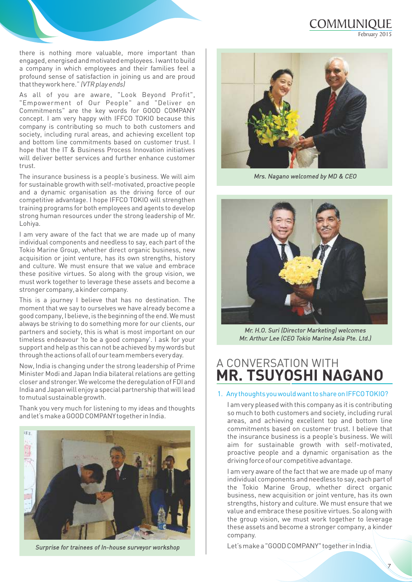### COMMUNIQUE February 2015

there is nothing more valuable, more important than engaged, energised and motivated employees. I want to build a company in which employees and their families feel a profound sense of satisfaction in joining us and are proud that they work here. *(VTR play ends)*

As all of you are aware, "Look Beyond Profit", "Empowerment of Our People" and "Deliver on Commitments" are the key words for GOOD COMPANY concept. I am very happy with IFFCO TOKIO because this company is contributing so much to both customers and society, including rural areas, and achieving excellent top and bottom line commitments based on customer trust. I hope that the IT & Business Process Innovation initiatives will deliver better services and further enhance customer trust.

The insurance business is a people's business. We will aim for sustainable growth with self-motivated, proactive people and a dynamic organisation as the driving force of our competitive advantage. I hope IFFCO TOKIO will strengthen training programs for both employees and agents to develop strong human resources under the strong leadership of Mr. Lohiya.

I am very aware of the fact that we are made up of many individual components and needless to say, each part of the Tokio Marine Group, whether direct organic business, new acquisition or joint venture, has its own strengths, history and culture. We must ensure that we value and embrace these positive virtues. So along with the group vision, we must work together to leverage these assets and become a stronger company, a kinder company.

This is a journey I believe that has no destination. The moment that we say to ourselves we have already become a good company, I believe, is the beginning of the end. We must always be striving to do something more for our clients, our partners and society, this is what is most important on our timeless endeavour 'to be a good company'. I ask for your support and help as this can not be achieved by my words but through the actions of all of our team members every day.

Now, India is changing under the strong leadership of Prime Minister Modi and Japan India bilateral relations are getting closer and stronger. We welcome the deregulation of FDI and India and Japan will enjoy a special partnership that will lead to mutual sustainable growth.

Thank you very much for listening to my ideas and thoughts and let's make a GOOD COMPANY together in India.



*Surprise for trainees of In-house surveyor workshop* 



*Mrs. Nagano welcomed by MD & CEO*



*Mr. H.O. Suri (Director Marketing) welcomes Mr. Arthur Lee (CEO Tokio Marine Asia Pte. Ltd.)*

### A CONVERSATION WITH **MR. TSUYOSHI NAGANO**

#### 1. Any thoughts you would want to share on IFFCO TOKIO?

I am very pleased with this company as it is contributing so much to both customers and society, including rural areas, and achieving excellent top and bottom line commitments based on customer trust. I believe that the insurance business is a people's business. We will aim for sustainable growth with self-motivated, proactive people and a dynamic organisation as the driving force of our competitive advantage.

I am very aware of the fact that we are made up of many individual components and needless to say, each part of the Tokio Marine Group, whether direct organic business, new acquisition or joint venture, has its own strengths, history and culture. We must ensure that we value and embrace these positive virtues. So along with the group vision, we must work together to leverage these assets and become a stronger company, a kinder company.

Let's make a "GOOD COMPANY" together in India.